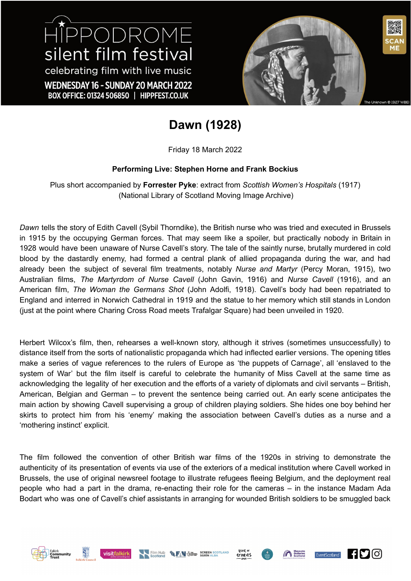# HIPPODROME silent film festival celebrating film with live music WEDNESDAY 16 - SUNDAY 20 MARCH 2022 BOX OFFICE: 01324 506850 | HIPPFEST.CO.UK



### **Dawn (1928)**

Friday 18 March 2022

#### **Performing Live: Stephen Horne and Frank Bockius**

Plus short accompanied by **Forrester Pyke**: extract from *Scottish Women's Hospitals* (1917) (National Library of Scotland Moving Image Archive)

*Dawn* tells the story of Edith Cavell (Sybil Thorndike), the British nurse who was tried and executed in Brussels in 1915 by the occupying German forces. That may seem like a spoiler, but practically nobody in Britain in 1928 would have been unaware of Nurse Cavell's story. The tale of the saintly nurse, brutally murdered in cold blood by the dastardly enemy, had formed a central plank of allied propaganda during the war, and had already been the subject of several film treatments, notably *Nurse and Martyr* (Percy Moran, 1915), two Australian films, *The Martyrdom of Nurse Cavell* (John Gavin, 1916) and *Nurse Cavell* (1916), and an American film, *The Woman the Germans Shot* (John Adolfi, 1918). Cavell's body had been repatriated to England and interred in Norwich Cathedral in 1919 and the statue to her memory which still stands in London (just at the point where Charing Cross Road meets Trafalgar Square) had been unveiled in 1920.

Herbert Wilcox's film, then, rehearses a well-known story, although it strives (sometimes unsuccessfully) to distance itself from the sorts of nationalistic propaganda which had inflected earlier versions. The opening titles make a series of vague references to the rulers of Europe as 'the puppets of Carnage', all 'enslaved to the system of War' but the film itself is careful to celebrate the humanity of Miss Cavell at the same time as acknowledging the legality of her execution and the efforts of a variety of diplomats and civil servants – British, American, Belgian and German – to prevent the sentence being carried out. An early scene anticipates the main action by showing Cavell supervising a group of children playing soldiers. She hides one boy behind her skirts to protect him from his 'enemy' making the association between Cavell's duties as a nurse and a 'mothering instinct' explicit.

The film followed the convention of other British war films of the 1920s in striving to demonstrate the authenticity of its presentation of events via use of the exteriors of a medical institution where Cavell worked in Brussels, the use of original newsreel footage to illustrate refugees fleeing Belgium, and the deployment real people who had a part in the drama, re-enacting their role for the cameras – in the instance Madam Ada Bodart who was one of Cavell's chief assistants in arranging for wounded British soldiers to be smuggled back











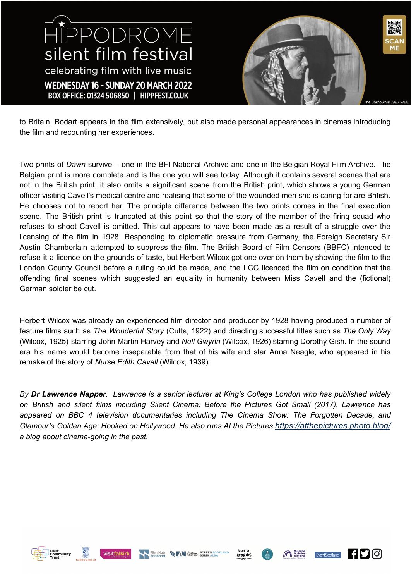HIPPODROME silent film festival celebrating film with live music WEDNESDAY 16 - SUNDAY 20 MARCH 2022 BOX OFFICE: 01324 506850 | HIPPFEST.CO.UK

to Britain. Bodart appears in the film extensively, but also made personal appearances in cinemas introducing the film and recounting her experiences.

Two prints of *Dawn* survive – one in the BFI National Archive and one in the Belgian Royal Film Archive. The Belgian print is more complete and is the one you will see today. Although it contains several scenes that are not in the British print, it also omits a significant scene from the British print, which shows a young German officer visiting Cavell's medical centre and realising that some of the wounded men she is caring for are British. He chooses not to report her. The principle difference between the two prints comes in the final execution scene. The British print is truncated at this point so that the story of the member of the firing squad who refuses to shoot Cavell is omitted. This cut appears to have been made as a result of a struggle over the licensing of the film in 1928. Responding to diplomatic pressure from Germany, the Foreign Secretary Sir Austin Chamberlain attempted to suppress the film. The British Board of Film Censors (BBFC) intended to refuse it a licence on the grounds of taste, but Herbert Wilcox got one over on them by showing the film to the London County Council before a ruling could be made, and the LCC licenced the film on condition that the offending final scenes which suggested an equality in humanity between Miss Cavell and the (fictional) German soldier be cut.

Herbert Wilcox was already an experienced film director and producer by 1928 having produced a number of feature films such as *The Wonderful Story* (Cutts, 1922) and directing successful titles such as *The Only Way* (Wilcox, 1925) starring John Martin Harvey and *Nell Gwynn* (Wilcox, 1926) starring Dorothy Gish. In the sound era his name would become inseparable from that of his wife and star Anna Neagle, who appeared in his remake of the story of *Nurse Edith Cavell* (Wilcox, 1939).

By Dr Lawrence Napper. Lawrence is a senior lecturer at King's College London who has published widely *on British and silent films including Silent Cinema: Before the Pictures Got Small (2017). Lawrence has appeared on BBC 4 television documentaries including The Cinema Show: The Forgotten Decade, and Glamour's Golden Age: Hooked on Hollywood. He also runs At the Pictures [https://atthepictures.photo.blog/](https://emea01.safelinks.protection.outlook.com/?url=https%3A%2F%2Fatthepictures.photo.blog%2F&data=01%7C01%7C%7C0fdf179d7ed54ca6cb1108d644ca7840%7C8370cf1416f34c16b83c724071654356%7C0&sdata=zKKMqXZmRgZVZOIrKlhXAk8BqMCmUfFEDNStXRDO%2Ftk%3D&reserved=0) a blog about cinema-going in the past.*